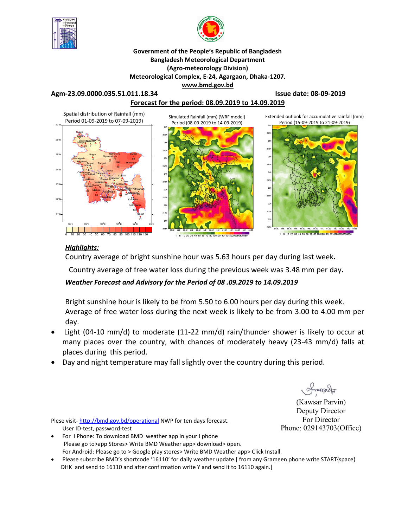



#### **Government of the People's Republic of Bangladesh Bangladesh Meteorological Department (Agro-meteorology Division) Meteorological Complex, E-24, Agargaon, Dhaka-1207. www.bmd.gov.bd**

#### **Agm-23.09.0000.035.51.011.18.34 Issue date: 08-09-2019**

## **Forecast for the period: 08.09.2019 to 14.09.2019**



#### *Highlights:*

Country average of bright sunshine hour was 5.63 hours per day during last week**.**

Country average of free water loss during the previous week was 3.48 mm per day**.** 

### *Weather Forecast and Advisory for the Period of 08 .09.2019 to 14.09.2019*

Bright sunshine hour is likely to be from 5.50 to 6.00 hours per day during this week. Average of free water loss during the next week is likely to be from 3.00 to 4.00 mm per day.

- Light (04-10 mm/d) to moderate (11-22 mm/d) rain/thunder shower is likely to occur at many places over the country, with chances of moderately heavy (23-43 mm/d) falls at places during this period.
- Day and night temperature may fall slightly over the country during this period.

 $\sqrt{mmax2\pi}$ 

(Kawsar Parvin) Deputy Director For Director Phone: 029143703(Office)

Plese visit-http://bmd.gov.bd/operational NWP for ten days forecast. User ID-test, password-test

- For I Phone: To download BMD weather app in your I phone Please go to>app Stores> Write BMD Weather app> download> open. For Android: Please go to > Google play stores> Write BMD Weather app> Click Install.
- Please subscribe BMD's shortcode '16110' for daily weather update.[ from any Grameen phone write START{space} DHK and send to 16110 and after confirmation write Y and send it to 16110 again.]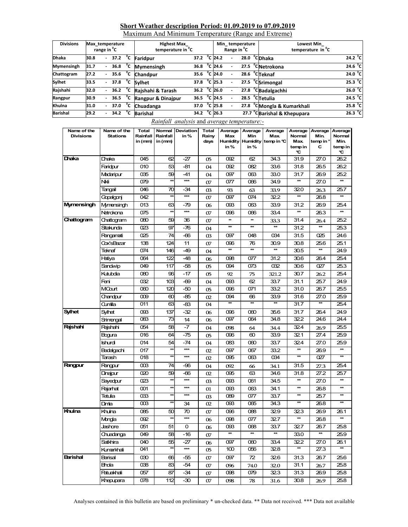### **Short Weather description Period: 01.09.2019 to 07.09.2019**

Maximum And Minimum Temperature (Range and Extreme)

| <b>Divisions</b>  | Max temperature<br>range in <sup>o</sup> C |        |                  |    | <b>Highest Max</b><br>temperature in <sup>"</sup> C |                           |  | Min_temperature<br>Range in <sup>v</sup> C |  |      |  | <b>Lowest Min</b><br>temperature in C   |                   |  |
|-------------------|--------------------------------------------|--------|------------------|----|-----------------------------------------------------|---------------------------|--|--------------------------------------------|--|------|--|-----------------------------------------|-------------------|--|
| <b>Dhaka</b>      | 30.8                                       |        |                  |    | $37.2$ <sup>C</sup> Faridpur                        | 37.2 $^{\circ}$ C 24.2    |  |                                            |  | 28.0 |  | <sup>o</sup> CDhaka                     | 24.2 $^{\circ}$ C |  |
| <b>Mymensingh</b> | 31.7                                       |        | 36.8 $\degree$ C |    | <b>Mymensingh</b>                                   | 36.8 $^{\circ}$ C 24.6    |  |                                            |  |      |  | 27.5 <sup>o</sup> CNetrokona            | $24.6^{\circ}$ C  |  |
| Chattogram        | 27.2                                       | $\sim$ | 35.6             | °c | <b>Chandpur</b>                                     | 35.6                      |  | $^{\circ}$ C 24.0                          |  |      |  | $28.6 °C$ Teknaf                        | 24.0 °C           |  |
| Sylhet            | 33.5                                       | $\sim$ |                  |    | $37.8$ $\degree$ C Sylhet                           | 37.8                      |  | $^{\circ}$ C 25.3                          |  |      |  | $27.5 °C$ Srimongal                     | 25.3 °C           |  |
| Rajshahi          | 32.0                                       | $\sim$ | 36.2 $\degree$ C |    | Rajshahi & Tarash                                   | 36.2 $^{\circ}$ C 26.0    |  |                                            |  |      |  | 27.8 <sup>o</sup> CBadalgachhi          | 26.0 °C           |  |
| Rangpur           | 30.9                                       |        | 36.5 $\degree$ C |    | Rangpur & Dinajpur                                  | $\overline{36.5}$ °C 24.5 |  |                                            |  |      |  | $28.5 °C$ Tetulia                       | $24.5^{\circ}$ C  |  |
| Khulna            | 31.0                                       |        | 37.0 $\degree$ C |    | Chuadanga                                           | 37.0                      |  | $^{\circ}$ C 25.8                          |  |      |  | 27.8 °CMongla & Kumarkhali              | 25.8 °C           |  |
| <b>Barishal</b>   | 29.2                                       |        | 34.2             | °c | <b>Barishal</b>                                     | 34.2 $^{\circ}$ C 26.3    |  |                                            |  |      |  | 27.7 <sup>o</sup> CBarishal & Khepupara | 26.3 °C           |  |

#### *Rainfall analysis* and *average temperature:-*

| Name of the<br><b>Divisions</b> | Name of the<br><b>Stations</b> | <b>Total</b><br>Rainfall | Normal<br>Rainfall | Deviation<br>in%  | Total<br>Rainy | Average<br>Max | Average<br>Min | Average<br>Max.              | Average<br>Normal | Average<br>Min. | Average<br>Normal |
|---------------------------------|--------------------------------|--------------------------|--------------------|-------------------|----------------|----------------|----------------|------------------------------|-------------------|-----------------|-------------------|
|                                 |                                | in (mm)                  | in (mm)            |                   | days           |                |                | Humidity Humidity temp in °C | Max.              | temp in °       | Min.              |
|                                 |                                |                          |                    |                   |                | in%            | in%            |                              | temp in<br>C      | с               | temp in<br>c      |
| Dhaka                           | Dhaka                          | 045                      | 62                 | -27               | 05             | 092            | 62             | 34.3                         | 31.9              | 27.0            | 26.2              |
|                                 | Faridpur                       | 010                      | 53                 | -81               | 04             | 092            | 082            | 33.6                         | 31.8              | 26.5            | 26.2              |
|                                 | Madaripur                      | 035                      | 59                 | -41               | 04             | 097            | 063            | 33.0                         | 31.7              | 26.9            | 25.2              |
|                                 | Nkli                           | 079                      | $\star\star$       | $\star\star$      | 07             | 077            | 066            | 34.9                         | **                | 27.0            | $\star\star$      |
|                                 | Tangail                        | 046                      | 70                 | -34               | 03             | 93             | 63             | 33.9                         | 320               | 26.3            | 25.7              |
|                                 | Gopalgonj                      | 042                      | $\star\star$       | $***$             | 07             | 097            | 074            | 32.2                         | $\star\star$      | 26.8            | $\star\star$      |
| <b>Mymensingh</b>               | Mymensingh                     | 013                      | 63                 | -79               | 06             | œз             | 063            | 33.9                         | 31.2              | 26.9            | 25.4              |
|                                 | Netrokona                      | 075                      | $\star\star$       | $\star\star$      | 07             | 096            | 066            | 33.4                         | $\star\star$      | 26.3            | $\star\star$      |
| Chattogram                      | Chattogram                     | 080                      | 59                 | 36                | 07             | ₩              | $\frac{1}{2}$  | 33.3                         | 31.4              | 26.4            | 25.2              |
|                                 | Sitakunda                      | 023                      | 97                 | -76               | 04             | $\star\star$   | $\star\star$   | $\star\star$                 | 31.2              | $\star\star$    | 25.3              |
|                                 | Rangamati                      | 025                      | 74                 | -66               | 03             | 097            | 048            | 034                          | 31.5              | 025             | 24.6              |
|                                 | Cox'sBazar                     | 138                      | 124                | 11                | 07             | œG             | 76             | 30.9                         | 30.8              | 25.6            | 25.1              |
|                                 | Teknaf                         | 074                      | 146                | -49               | 04             | $\star\star$   | $\ast$         | $\star\star$                 | 30.5              | $\star\star$    | 24.9              |
|                                 | Hatiya                         | 064                      | 122                | -48               | 06             | 098            | 077            | 31.2                         | 30.6              | 26.4            | 25.4              |
|                                 | Sandwip                        | 049                      | 117                | -58               | 05             | 094            | 073            | 032                          | 30.6              | 027             | 25.3              |
|                                 | Kutubdia                       | 080                      | 96                 | -17               | 05             | 92             | 75             | 321.2                        | 30.7              | 26.2            | 25.4              |
|                                 | Feni                           | 032                      | 103                | -69               | 04             | œз             | 62             | 33.7                         | 31.1              | 25.7            | 24.9              |
|                                 | MCourt                         | 060                      | 120                | -50               | 05             | 096            | 071            | 33.2                         | 31.0              | 26.7            | 25.5              |
|                                 | Chandpur                       | 009                      | $\infty$           | -85               | 02             | 094            | 66             | 33.9                         | 31.6              | 27.0            | 25.9              |
|                                 | Qumilla                        | 011                      | 63                 | -83               | 04             | $\ast$         | *              | *                            | 31.7              | #               | 25.4              |
| <b>Sylhet</b>                   | Sylhet                         | O93                      | 137                | -32               | 06             | 096            | 060            | 35.6                         | 31.7              | 26.4            | 24.9              |
|                                 | Srimongal                      | 083                      | 73                 | 14                | 06             | 097            | 064            | 34.8                         | 32.2              | 24.6            | 24.4              |
| Rajshahi                        | Raishahi                       | 054                      | 58                 | -7                | 04             | 098            | 64             | 34.4                         | 32.4              | 26.9            | 25.5              |
|                                 | Bogura                         | 016                      | 64                 | -75               | 05             | 096            | ഌ              | 33.9                         | 321               | 27.4            | 25.9              |
|                                 | Ishurdi                        | 014                      | 54                 | -74               | 04             | 083            | 060            | 33.7                         | 324               | 27.0            | 25.9              |
|                                 | Badalgachi                     | 017                      | $\star\star$       | $\star\star$      | 02             | 097            | 067            | 33.2                         | $\star\star$      | 26.9            | $\star\star$      |
|                                 | Tarash                         | 018                      | $\star\star$       | $\star\star\star$ | 02             | 095            | 063            | 034                          | *                 | 027             | $\star\star$      |
| Rangpur                         | Rangpur                        | $\infty$                 | 74                 | -96               | 04             | 092            | 66             | 34.1                         | 31.5              | 27.3            | 25.4              |
|                                 | Dinajpur                       | 020                      | 59                 | -66               | 02             | 095            | 63             | 34.6                         | 31.8              | 27.2            | 25.7              |
|                                 | Sayedpur                       | 023                      | $\star\star$       | $***$             | œ              | œз             | 061            | 34.5                         | **                | 27.0            | $\star\star$      |
|                                 | Rajarhat                       | 001                      | $\star\star$       | $\star\star$      | 01             | œз             | 063            | 34.1                         | $\star\star$      | 26.8            | $\star\star$      |
|                                 | Tetulia                        | OЗЗ                      | $\star\star$       | $\star\star\star$ | œ              | 089            | 077            | 33.7                         | $\star\star$      | 25.7            | $\star\star$      |
|                                 | Dimia                          | $\infty$                 | ¥                  | 34                | 02             | œв             | 065            | 34.3                         | $\star\star$      | 26.8            | $\star\star$      |
| Khulna                          | Khulna                         | 085                      | 50                 | 70                | 07             | 096            | 088            | 329                          | 323               | 26.9            | 26.1              |
|                                 | Mongla                         | 092                      | $\star\star$       | $\star\star\star$ | 06             | 098            | 077            | 32.7                         | $\star\star$      | 26.8            | $\star\star$      |
|                                 | Jashore                        | 051                      | 51                 | 0                 | 06             | œз             | 068            | 33.7                         | 32.7              | 26.7            | 25.8              |
|                                 | Chuadanga                      | 049                      | 58                 | -16               | 07             | $\star\star$   | $\star\star$   | $\star\star$                 | 33.0              | $\star\star$    | 25.9              |
|                                 | Satkhira                       | 040                      | 55                 | -27               | 06             | 097            | 060            | 33.4                         | 32.2              | 27.0            | 26.1              |
|                                 | Kumarkhali                     | 041                      | <b>*</b>           | $\star\star\star$ | 05             | 100            | 056            | 328                          | $\star\star$      | 27.3            | $\star\star$      |
| Barishal                        | Barisal                        | 030                      | 66                 | -55               | 07             | 097            | 72             | 326                          | 31.3              | 26.7            | 25.6              |
|                                 | Bhda                           | 038                      | 83                 | -54               | 07             | 096            | 74.0           | 32.0                         | 31.1              | 26.7            | 25.8              |
|                                 | Patuakhali                     | 057                      | 87                 | -34               | 07             | 098            | 079            | 323                          | 31.3              | 26.9            | 25.8              |
|                                 | Khepupara                      | 078                      | 112                | -30               | 07             | 098            | 78             | 31.6                         | 30.8              | 26.9            | 25.8              |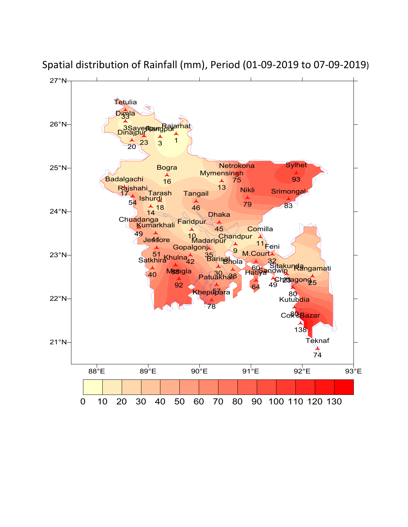

Spatial distribution of Rainfall (mm), Period (01-09-2019 to 07-09-2019)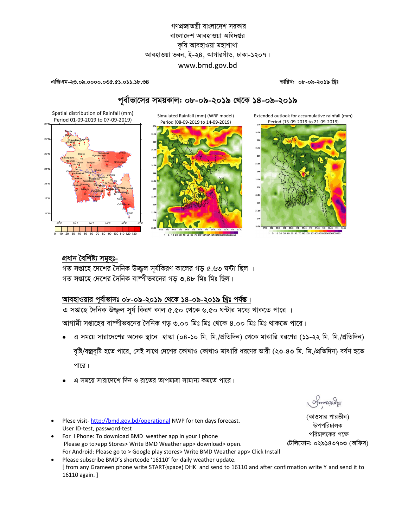## গণপ্রজাতন্ত্রী বাংলাদেশ সরকার বাংলাদেশ আবহাওয়া অধিদপ্তর কৃষি আবহাওয়া মহাশাখা আবহাওয়া ভবন, ই-২৪, আগারগাঁও, ঢাকা-১২০৭। www.bmd.gov.bd

#### এজিএম-২৩.০৯.০০০০.০৩৫.৫১.০১১.১৮.৩৪

তারিখ: ০৮-০৯-২০১৯ খিঃ

## পূর্বাভাসের সময়কাল: ০৮-০৯-২০১৯ থেকে ১৪-০৯-২০১৯

Simulated Rainfall (mm) (WRF model)

Extended outlook for accumulative rainfall (mm)



# প্ৰধান বৈশিষ্ট্য সমূহঃ-

গত সপ্তাহে দেশের দৈনিক উজ্জল সর্যকিরণ কালের গড় ৫.৬৩ ঘন্টা ছিল । গত সপ্তাহে দেশের দৈনিক বাষ্পীভবনের গড় ৩.৪৮ মিঃ মিঃ ছিল।

## আবহাওয়ার পূর্বাভাসঃ ০৮-০৯-২০১৯ থেকে ১৪-০৯-২০১৯ খ্রিঃ পর্যন্ত।

এ সপ্তাহে দৈনিক উজ্জল সূর্য কিরণ কাল ৫.৫০ থেকে ৬.৫০ ঘন্টার মধ্যে থাকতে পারে ।

আগামী সপ্তাহের বাম্পীভবনের দৈনিক গড় ৩.০০ মিঃ মিঃ থেকে ৪.০০ মিঃ মিঃ থাকতে পারে।

- এ সময়ে সারাদেশের অনেক স্থানে হাল্কা (০৪-১০ মি. মি./প্রতিদিন) থেকে মাঝারি ধরণের (১১-২২ মি. মি./প্রতিদিন) বৃষ্টি/বজ্রবৃষ্টি হতে পারে, সেই সাথে দেশের কোথাও কোথাও মাঝারি ধরণের ভারী (২৩-৪৩ মি. মি./প্রতিদিন) বর্ষণ হতে পারে।
- এ সময়ে সারাদেশে দিন ও রাতের তাপমাত্রা সামান্য কমতে পারে।
- Plese visit-http://bmd.gov.bd/operational NWP for ten days forecast. User ID-test, password-test
- For I Phone: To download BMD weather app in your I phone Please go to>app Stores> Write BMD Weather app> download> open. For Android: Please go to > Google play stores> Write BMD Weather app> Click Install
- Please subscribe BMD's shortcode '16110' for daily weather update. [from any Grameen phone write START{space} DHK and send to 16110 and after confirmation write Y and send it to 16110 again. ]

Smanach

(কাওসার পারভীন) উপপরিচালক পরিচালকের পক্ষে টেলিফোন: ০২৯১৪৩৭০৩ (অফিস)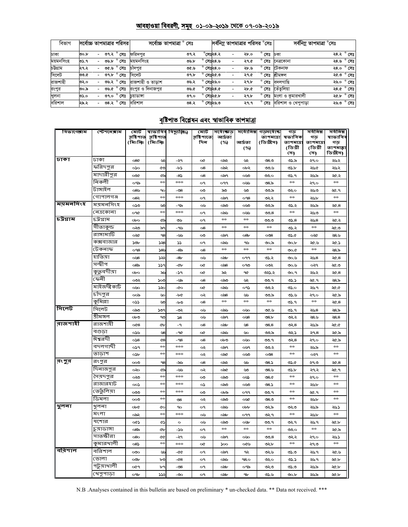### <u> আবহাওয়া বিবরণী, সমূহ ০১-০৯-২০১৯ থেকে ০৭-০৯-২০১৯</u>

| বিভাগ     |      |                          |      | সর্বোচ্চ তাপমাত্রার পরিসর | সৰ্বোচ্চ তাপমাত্ৰা ° | সেঃ  |                    | সর্বনিম্ন তাপমাত্রার পরিসর °সেঃ ' |      |                |                                  | সর্বনিম্ন তাপমাত্রা °সেঃ                  |
|-----------|------|--------------------------|------|---------------------------|----------------------|------|--------------------|-----------------------------------|------|----------------|----------------------------------|-------------------------------------------|
| ঢাকা      | ৩০.৮ |                          | ৩৭.২ | $^{\circ}$ সেঃ            | ফরিদপর               | ৩৭.২ | $^\circ$ সেঃ২৪.২   |                                   | ২৮.০ | $^{\circ}$ সেঃ | ঢকা                              | ২৪.২ ° সেঃ                                |
| ময়মনসিংহ | ৩১.৭ | $\overline{\phantom{0}}$ | ৩৬.৮ | $^{\circ}$ সেঃ            | ময়মনসিংহ            | ৩৬.৮ | $^{\circ}$ সেঃ২৪.৬ |                                   | ২৭.৫ |                | $^\circ$ সেঃ নেত্ৰকোনা           | ২৪.৬ ° সেঃ                                |
| চউগ্ৰাম   | ২৭.২ | $\overline{\phantom{0}}$ | ৩৫.৬ | $^{\circ}$ সেঃ            | চাঁদপর               | ৩৫.৬ | $^{\circ}$ সেঃ২৪.০ | $\overline{\phantom{a}}$          | ২৮.৬ | $^{\circ}$ সেঃ | টেকনাফ                           | ২৪.০ $^{\circ}$ সেঃ                       |
| সিলেট     | ৩৩.৫ |                          |      | ৩৭.৮ ° সেঃ                | সিলেট                | ৩৭.৮ | $^{\circ}$ সেঃ২৫.৩ | $\overline{\phantom{a}}$          | ২৭.৫ | $^{\circ}$ সেঃ | শ্ৰীমঙ্গল                        | ২৫.৩ $^{\circ}$ সেঃ                       |
| রাজশাহী   | ৩২.০ |                          |      | ৩৬.২ ° সেঃ                | রাজশাহী ও তাডাশ      | ৩৬.২ | $^{\circ}$ সেঃ২৬.০ | $\overline{\phantom{a}}$          | ২৭.৮ | $^{\circ}$ সেঃ | বদলগাছি                          | $^{\circ}$ সেঃ<br>২৬.০                    |
| রংপুর     | ৩০.৯ |                          | ৩৬.৫ | $^{\circ}$ সেঃ            | রংপর ও দিনাজপর       | ৩৬.৫ | $^{\circ}$ সেঃ২৪.৫ |                                   | ২৮.৫ | $\circ$<br>সেঃ | তেঁতলিয়া                        | $^{\circ}$ সেঃ<br>২৪.৫                    |
| খুলনা     | ৩১.০ | $\overline{\phantom{0}}$ | ৩৭.০ | $^{\circ}$ সেঃ            | চয়াডাঙ্গা           | 09.0 | $^{\circ}$ সেঃ২৫.৮ | $\overline{\phantom{a}}$          | ২৭.৮ | $^{\circ}$ সেঃ | মংলা ও কুমারখালী                 | $\overline{\mathcal{R}}$ .৮ $\degree$ সেঃ |
| বরিশাল    | ২৯.২ | $\overline{\phantom{0}}$ |      | ৩৪.২ ° সেঃ                | বরিশাল               | ৩৪.২ | $^{\circ}$ সেঃ২৬.৩ |                                   | ২৭.৭ |                | <b>° সেঃ ব</b> রিশাল ও খেপুপাড়া | ২৬.৩ ° সেঃ                                |

## <u>বৃষ্টিপাত বিশ্লেষন এবং স্বাভাবিক তাপমাত্ৰা</u>

| বিভাগেৰাম | স্টেশ <b>লে</b> ৰাম | মোট             |                    | স্বাভাবিৰ বিছ্যুষ্ঠি⁄৬) | মোট        | সৰ্বোচ্চাড় | সৰ্বোনিম্ন      | গডসৰ্বোষ্ক    | গড             | সৰ্বনিম্ন      | সৰ্বনিম্ন             |
|-----------|---------------------|-----------------|--------------------|-------------------------|------------|-------------|-----------------|---------------|----------------|----------------|-----------------------|
|           |                     | রষ্টিপাত        | রষ্টিপাত           |                         | রষ্টিশাতে; | আৰ্দ্ৰতা    |                 | তাপমাত্রা     | ষভাবিক         | গড             | ষাভাবিব               |
|           |                     | (মিঃমিঃ         | (মিঃমিঃ            |                         | দিন        | (%)         | আৰ্দ্ৰতা        | (ডিগ্রীস)     | তাপমাত্রা      | তাপমাত্র       | গড়                   |
|           |                     |                 |                    |                         |            |             | (%)             |               | (ডিগ্ৰী<br>সে) | (ডিগ্ৰী<br>সে) | তাপমাল্লা<br>ডিগ্ৰীস) |
| ঢাকা      | ঢাকা                | 080             | پي                 | -২৭                     |            | ০৯২         | چين             | 08.0          | ৩১.৯           | ২৭০            | ২৬২                   |
|           | ফরিদপুর             |                 |                    |                         | œ          |             |                 |               |                |                |                       |
|           |                     | $\infty$        | ৫৩                 | -b>                     | 08         | ০৯২         | ০৮২             | ಲೂ            | ৩১.৮           | সমক            | ২৬২                   |
|           | মাদারীপুর           | ಯೋ              | ৫৯                 | -85                     | 08         | ০৯৭         | ಯಿ              | ುಂ            | ৩১.৭           | ২৬৯            | ২৫.২                  |
|           | নিকলী               | ಂಇಎ             | $\frac{1}{2}$      | $\frac{1}{2}$           | ο٩         | ०११         | ০৬৬             | ల8.స          | $\pm\pm$       | ২৭০            | stole                 |
|           | টাঙ্গাইল            | 085             | 90                 | -৩৪                     | ು          | ನಿಲ         | ৬৩              | ು ಎ           | లుం            | ২৬৩            | ২৫.৭                  |
|           | গোপালগঞ্জ           | 082             | $\frac{1}{2}$      | ***                     | o٩         | ০৯৭         | O <sub>98</sub> | ಲುನ           | $*$            | ২৬৮            | abc c                 |
| ময়মনসিংহ | ময়মনসিংহ           | ು               | ৬৩                 | -9৯                     | ০৬         | ಂಎ          | ಯಿ              | ು.ಎ           | ৩১.২           | ২৬৯            | $\mathcal{A}$ .8      |
|           | নেত্ৰকোনা           | ୦୩୯             | $\frac{1}{2}$      | $\frac{1}{2}$           | o٩         | ಂನು         | aw              | 00.8          | $\frac{1}{2}$  | ২৬৩            | $\frac{1}{2}$         |
| ∣চউগ্রাম  | চট্ৰগ্ৰাম           | obo             | ৫৯                 | ৩৬                      | ο٩         | $*$         | $\frac{1}{2}$   | ತ್ತಾತ         | లు. $8$        | ২৬৪            | ২৫.২                  |
|           | সীতাকুন্ড           | ంసిం            | ৯৭                 | -95                     | 08         | $*$         | rich            | $\frac{1}{2}$ | ৩১.২           | <b>Media</b>   | ২৫.৩                  |
|           | রাঙ্গামাটি          | ০২৫             | 98                 | -55                     | $\infty$   | ಂಎ੧         | $^{68}$         | $\infty$ 8    | ৩১.৫           | ০২৫            | ২৪.৬                  |
|           | কক্সবাজার           | ১৩৮             | ১২৪                | ১১                      | о۹         | ಂನು         | ৭৬              | ৩০.৯          | ৩০.৮           | ২৫.৬           | ২৫.১                  |
|           | টেকনাফ              | O <sub>98</sub> | 585                | -&                      | 08         | $*$         | <b>Media</b>    | abc c         | ৩০.৫           | $\frac{1}{2}$  | ২৪.৯                  |
|           | হাতিয়া             | oy8             | بجد                | $-8v$                   | ০৬         | ಂನು         | ०११             | ৩১.২          | ৩০.৬           | ২৬৪            | ২৫.৪                  |
|           | সন্দ্বীপ            | ೦8৯             | ১১৭                | $-db$                   | œ          | ಂನ8         | ೧۹೮             | ಯ             | ৩০.৬           | ०२१            | ৩.১৯                  |
|           | কুতুবদীয়া          | $o\mathbf{b}$   | ৯১                 | -১৭                     | o¢         | ৯২          | ዓ৫              | ৩২১.২         | ৩০.৭           | ২৬২            | $\propto$ .8          |
|           | ফেনী                | ಯ               | ১০৩                | -৬৯                     | 08         | ಂನಿ         | چڻ              | ৩৩.৭          | ৩১.১           | ২৫.৭           | ২৪.৯                  |
|           | মাইজদী কাৰ্ট        | oyo             | ১২০                | -00                     | œ          | ಂನು         | ০৭১             | ಅಂ            | ৩১.০           | ২৬৭            | ২৫.৫                  |
|           | চাঁদপুর             | ಂಎ              | ৬০                 | -b&                     | ು          | ಂನಿ         | ططا             | ৩೨.৯          | ৩১.৬           | ২৭০            | ২৫.৯                  |
|           | কুমিল্লা            | ০১১             | $\infty$           | -৮৩                     | 08         | **          | $**$            | $\pm\pm$      | ৩১.৭           | **             | $\mathcal{A}$ .8      |
| সিলেট     | সিলেট               | ಂನಿಂ            | 509                | -೨২                     | ০৬         | ಂನು         | ০৬০             | ৩৫.৬          | ৩১.৭           | ২৬৪            | ২৪.৯                  |
|           | শ্ৰীমঙ্গল           | ০৮৩             | ೪                  | 58                      | ০৬         | ಂಎ੧         | o¥8             | 98.5          | ಲ್ಲು           | ২৪.৬           | 28.8                  |
| ৰাজশাহী   | রাজশাহী             | O(8)            | ŒЪ                 | -9                      | $\circ$ 8  | ಂನು         | ৬৪              | 08.8          | లు $8$         | ২৬৯            | ২৫.৫                  |
|           | বগুডা               | ০১৬             | ৬৪                 | -90                     | ο¢         | ಂನು         | ৬০              | ು.৯           | ৩২১            | રવ8            | ২৫.৯                  |
|           | ঈশ্বরদী             | 0.8             | $^{68}$            | $-98$                   | 08         | ০৮৩         | ০৬০             | ৩৩.৭          | ৩২৪            | ২৭০            | ২৫.৯                  |
|           | বদলগাছী             | ०১৭             | 262                | $***$                   | ০২         | ಂಎ੧         | ૦ઙ૧             | ು ২           | **             | ২৬৯            | $2\pi$                |
|           | তাডাশ               | osb             | $+1$               | $\frac{1}{2}$           | ০২         | ০৯৫         | ಯಿ              | $\infty$ 8    | **             | ૦૨૧            | $\frac{1}{2}$         |
| রংপুর     | রংপুর               | ೲ               | 98                 | -ಎಂ                     | $\circ$ 8  | ০৯২         | دايما           | 08.5          | ৩১.৫           | ২৭৩            | $\propto$ .8          |
|           | দিনাজপুর            | ∞               | ৫৯                 | طط–                     | ০২         | ಂನೇ         | ৬৩              | 08.9          | ৩১.৮           | સ્વસ           | ২৫.৭                  |
|           | সৈয়দপুর            | ು               | olecti             | stesteste               | $\infty$   | ಂನಿ         | oU)             | 98.0          | **             | ২৭০            | steate                |
|           | রাজারহাট            |                 | $*$                | ***                     |            |             |                 | ৩৪.১          | $**$           |                | $2\pi$                |
|           | ভের্তুলিয়া         | ∞১              | 2626               | $***$                   | ০১         | ಂನಿ         | ಯಿ              |               | $**$           | ২৬৮            | $\frac{1}{2}$         |
|           | ডিমলা               | ಯಿ              | 2626               |                         | ು          | ০৮৯         | ૦૧૧             | ৩৩.৭<br>08.0  | $**$           | ২৫.৭<br>২৬৮    | $\frac{1}{2}$         |
| থুলনা     | খ়লনা               | ၀၀૭             |                    | $\circ$ 8               | ০২         | ಾು          | ০৬৫             |               |                |                |                       |
|           | মংলা                | ob¢             | œ<br>$\frac{1}{2}$ | 90<br>***               | o٩         | ಂನು         | obb             | ৩২৯           | ಲೂ<br>$*$      | ২৬৯            | ২৬১<br>$\frac{1}{2}$  |
|           |                     | ০৯২             |                    |                         | ০৬         | ಂನು         | ०११             | ৩২৭           |                | ২৬৮            |                       |
|           | যশোর                | ০৫১             | G)                 | $\circ$                 | ০৬         | ಂಎಂ         | ০৬৮             | ৩৩.৭          | ۹پ             | ২৬৭            | ২৫.৮                  |
|           | চুয়াডাঙ্গা         | ං8ි             | ŒЪ                 | -১৬                     | o٩         | $*$         | rich            | $\frac{1}{2}$ | ುಂ             | **             | ২৫.৯                  |
|           | সাতক্ষীরা           | 080             | œ                  | -২৭                     | ০৬         | ಂಎ੧         | ০৬০             | 00.8          | ಲ್ಲ            | ২৭০            | ২৬১                   |
|           | কুমারখালী           | 08              | $\frac{1}{2}$      | $\frac{1}{2}$           | ∝          | ১০০         | ০৫৬             | ৩২৮           | $\frac{1}{2}$  | ২৭৩            | $\frac{1}{2}$         |
| ∣ববিশাল   | বরিশাল              | $\infty$        | رائطا              | -৫৫                     | ο٩         | ০৯৭         | جە              | ৩২৬           | ৩১.৩           | ২৬৭            | -১৯২                  |
|           | ভোলা                | ಯಿ              | ৮৩                 | -48                     | о٩         | ಂನು         | 98.0            | ುುಂ           | ৩১.১           | ২৬৭            | ২৫.৮                  |
|           | পটুয়াথালী          | ०৫१             | Ъq                 | -08                     | o٩         | ಂನು         | ০৭৯             | ಲೂ            | ৩১.৩           | ২৬৯            | ২৫.৮                  |
|           | খেপুপাড়া           | o9b             | ১১২                | $-\infty$               | ο٩         | ಂನು         | 9 <sub>b</sub>  | ৩১.৬          | $\infty$ .br   | ২৬৯            | ২৫.৮                  |

N.B .<br>Analyses contained in this bulletin are based on preliminary \* un-checked data. \*\* Data not received. \*\*\*